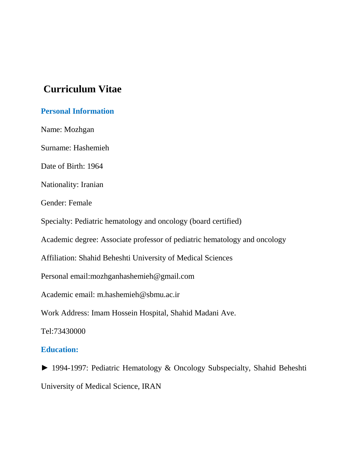# **Curriculum Vitae**

# **Personal Information**

Name: Mozhgan

Surname: Hashemieh

Date of Birth: 1964

Nationality: Iranian

Gender: Female

Specialty: Pediatric hematology and oncology (board certified)

Academic degree: Associate professor of pediatric hematology and oncology

Affiliation: Shahid Beheshti University of Medical Sciences

Personal email:mozhganhashemieh@gmail.com

Academic email: m.hashemieh@sbmu.ac.ir

Work Address: Imam Hossein Hospital, Shahid Madani Ave.

Tel:73430000

## **Education:**

► 1994-1997: Pediatric Hematology & Oncology Subspecialty, Shahid Beheshti University of Medical Science, IRAN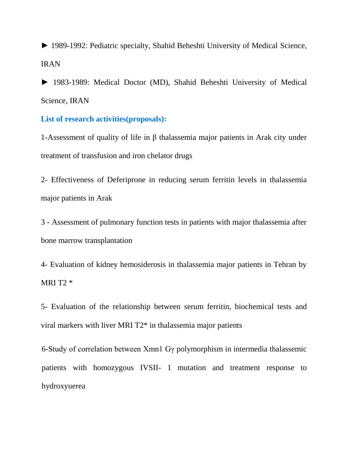► 1989-1992: Pediatric specialty, Shahid Beheshti University of Medical Science, IRAN

► 1983-1989: Medical Doctor (MD), Shahid Beheshti University of Medical Science, IRAN

#### **List of research activities(proposals):**

1-Assessment of quality of life in β thalassemia major patients in Arak city under treatment of transfusion and iron chelator drugs

2- Effectiveness of Deferiprone in reducing serum ferritin levels in thalassemia major patients in Arak

3 - Assessment of pulmonary function tests in patients with major thalassemia after bone marrow transplantation

4- Evaluation of kidney hemosiderosis in thalassemia major patients in Tehran by MRI T2 \*

5- Evaluation of the relationship between serum ferritin, biochemical tests and viral markers with liver MRI T2\* in thalassemia major patients

6-Study of correlation between Xmn1 Gγ polymorphism in intermedia thalassemic patients with homozygous IVSII- 1 mutation and treatment response to hydroxyuerea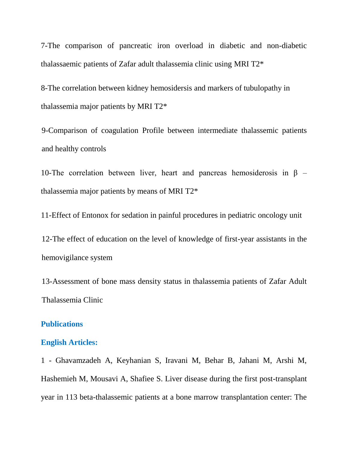7-The comparison of pancreatic iron overload in diabetic and non-diabetic thalassaemic patients of Zafar adult thalassemia clinic using MRI T2\*

8-The correlation between kidney hemosidersis and markers of tubulopathy in thalassemia major patients by MRI T2\*

9-Comparison of coagulation Profile between intermediate thalassemic patients and healthy controls

10-The correlation between liver, heart and pancreas hemosiderosis in β – thalassemia major patients by means of MRI T2\*

11-Effect of Entonox for sedation in painful procedures in pediatric oncology unit

12-The effect of education on the level of knowledge of first-year assistants in the hemovigilance system

13-Assessment of bone mass density status in thalassemia patients of Zafar Adult Thalassemia Clinic

#### **Publications**

## **English Articles:**

1 - Ghavamzadeh A, Keyhanian S, Iravani M, Behar B, Jahani M, Arshi M, Hashemieh M, Mousavi A, Shafiee S. Liver disease during the first post-transplant year in 113 beta-thalassemic patients at a bone marrow transplantation center: The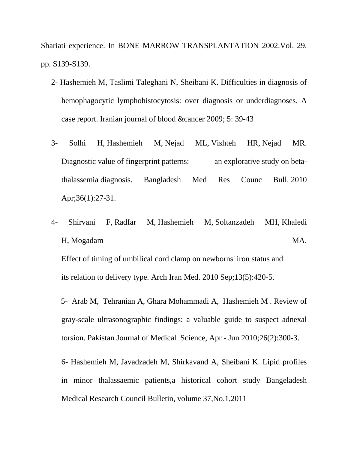Shariati experience. In BONE MARROW TRANSPLANTATION 2002.Vol. 29, pp. S139-S139.

- 2- Hashemieh M, Taslimi Taleghani N, Sheibani K. Difficulties in diagnosis of hemophagocytic lymphohistocytosis: over diagnosis or underdiagnoses. A case report. Iranian journal of blood &cancer 2009; 5: 39-43
- 3- [Solhi H,](https://www.ncbi.nlm.nih.gov/pubmed/?term=Solhi%20H%5BAuthor%5D&cauthor=true&cauthor_uid=21280556) [Hashemieh M,](https://www.ncbi.nlm.nih.gov/pubmed/?term=Hashemieh%20M%5BAuthor%5D&cauthor=true&cauthor_uid=21280556) [Nejad ML,](https://www.ncbi.nlm.nih.gov/pubmed/?term=Nejad%20ML%5BAuthor%5D&cauthor=true&cauthor_uid=21280556) [Vishteh HR,](https://www.ncbi.nlm.nih.gov/pubmed/?term=Vishteh%20HR%5BAuthor%5D&cauthor=true&cauthor_uid=21280556) [Nejad MR.](https://www.ncbi.nlm.nih.gov/pubmed/?term=Nejad%20MR%5BAuthor%5D&cauthor=true&cauthor_uid=21280556) Diagnostic value of fingerprint patterns: an explorative study on betathalassemia diagnosis. [Bangladesh Med Res Counc Bull.](https://www.ncbi.nlm.nih.gov/pubmed/?term=Diagnostic+value+of+fingerprint+patterns%3A+An+explorative+study+on+beta-thalassemia++diagnosis%3A) 2010 Apr;36(1):27-31.
- 4- [Shirvani F,](https://www.ncbi.nlm.nih.gov/pubmed/?term=Shirvani%20F%5BAuthor%5D&cauthor=true&cauthor_uid=20804310) [Radfar M,](https://www.ncbi.nlm.nih.gov/pubmed/?term=Radfar%20M%5BAuthor%5D&cauthor=true&cauthor_uid=20804310) [Hashemieh M,](https://www.ncbi.nlm.nih.gov/pubmed/?term=Hashemieh%20M%5BAuthor%5D&cauthor=true&cauthor_uid=20804310) [Soltanzadeh MH,](https://www.ncbi.nlm.nih.gov/pubmed/?term=Soltanzadeh%20MH%5BAuthor%5D&cauthor=true&cauthor_uid=20804310) [Khaledi](https://www.ncbi.nlm.nih.gov/pubmed/?term=Khaledi%20H%5BAuthor%5D&cauthor=true&cauthor_uid=20804310)  [H,](https://www.ncbi.nlm.nih.gov/pubmed/?term=Khaledi%20H%5BAuthor%5D&cauthor=true&cauthor_uid=20804310) [Mogadam](https://www.ncbi.nlm.nih.gov/pubmed/?term=Mogadam%20MA%5BAuthor%5D&cauthor=true&cauthor_uid=20804310) MA. Effect of timing of umbilical cord clamp on newborns' iron status and

its relation to delivery type. [Arch Iran Med.](https://www.ncbi.nlm.nih.gov/pubmed/?term=Effect+of+Timing+of+Umbilical+Cord+Clamp+on+Newborns%2C+Iron+Status+and+its+Relation+to+Delivery+Type) 2010 Sep;13(5):420-5.

 5[-](http://www.pakmedinet.com/author/Maliheh+Arab) [Arab](http://www.pakmedinet.com/author/Maliheh+Arab) M, [Tehranian](http://www.pakmedinet.com/author/Afsaneh+Tehranian) A, [Ghara Mohammadi](http://www.pakmedinet.com/author/Akram+Ghara+Mohammadi) A, [Hashemieh](http://www.pakmedinet.com/author/Mojgan+Hashemieh) M . Review of gray-scale ultrasonographic findings: a valuable guide to suspect adnexal torsion[.](http://www.pakmedinet.com/PJMS) [Pakistan Journal of Medical Scie](http://www.pakmedinet.com/PJMS)nce, Apr - Jun 2010;26(2):300-3.

6- Hashemieh M, Javadzadeh M, Shirkavand A, Sheibani K. Lipid profiles in minor thalassaemic patients,a historical cohort study Bangeladesh Medical Research Council Bulletin, volume 37,No.1,2011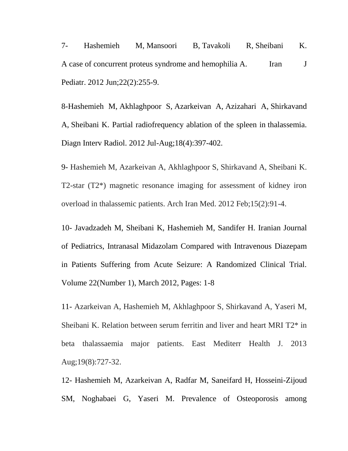7- [Hashemieh M,](https://www.ncbi.nlm.nih.gov/pubmed/?term=Hashemieh%20M%5BAuthor%5D&cauthor=true&cauthor_uid=23056896) [Mansoori B,](https://www.ncbi.nlm.nih.gov/pubmed/?term=Mansoori%20B%5BAuthor%5D&cauthor=true&cauthor_uid=23056896) [Tavakoli R,](https://www.ncbi.nlm.nih.gov/pubmed/?term=Tavakoli%20R%5BAuthor%5D&cauthor=true&cauthor_uid=23056896) [Sheibani K.](https://www.ncbi.nlm.nih.gov/pubmed/?term=Sheibani%20K%5BAuthor%5D&cauthor=true&cauthor_uid=23056896) A case of concurrent proteus syndrome and hemophilia A. Iran J [Pediatr.](https://www.ncbi.nlm.nih.gov/pubmed/?term=A+case+of+concurrent+proteus+syndrome+and+hemophilia+A) 2012 Jun;22(2):255-9.

8[-Hashemieh M,](https://www.ncbi.nlm.nih.gov/pubmed/?term=Hashemieh%20M%5BAuthor%5D&cauthor=true&cauthor_uid=22328281) [Akhlaghpoor S,](https://www.ncbi.nlm.nih.gov/pubmed/?term=Akhlaghpoor%20S%5BAuthor%5D&cauthor=true&cauthor_uid=22328281) [Azarkeivan A,](https://www.ncbi.nlm.nih.gov/pubmed/?term=Azarkeivan%20A%5BAuthor%5D&cauthor=true&cauthor_uid=22328281) [Azizahari A,](https://www.ncbi.nlm.nih.gov/pubmed/?term=Azizahari%20A%5BAuthor%5D&cauthor=true&cauthor_uid=22328281) [Shirkavand](https://www.ncbi.nlm.nih.gov/pubmed/?term=Shirkavand%20A%5BAuthor%5D&cauthor=true&cauthor_uid=22328281)  [A,](https://www.ncbi.nlm.nih.gov/pubmed/?term=Shirkavand%20A%5BAuthor%5D&cauthor=true&cauthor_uid=22328281) [Sheibani K.](https://www.ncbi.nlm.nih.gov/pubmed/?term=Sheibani%20K%5BAuthor%5D&cauthor=true&cauthor_uid=22328281) Partial radiofrequency ablation of the spleen in thalassemia. [Diagn Interv Radiol.](https://www.ncbi.nlm.nih.gov/pubmed/22328281) 2012 Jul-Aug;18(4):397-402.

9- Hashemieh M, Azarkeivan A, Akhlaghpoor S, Shirkavand A, Sheibani K. T2-star (T2\*) magnetic resonance imaging for assessment of kidney iron overload in thalassemic patients. Arch Iran Med. 2012 Feb;15(2):91-4.

10- Javadzadeh M, Sheibani K, Hashemieh M, Sandifer H. Iranian Journal of Pediatrics, Intranasal Midazolam Compared with Intravenous Diazepam in Patients Suffering from Acute Seizure: A Randomized Clinical Trial. Volume 22(Number 1), March 2012, Pages: 1-8

11- Azarkeivan A, Hashemieh M, Akhlaghpoor S, Shirkavand A, Yaseri M, Sheibani K. Relation between serum ferritin and liver and heart MRI T2\* in beta thalassaemia major patients. East Mediterr Health J. 2013 Aug;19(8):727-32.

12- Hashemieh M, Azarkeivan A, Radfar M, Saneifard H, Hosseini-Zijoud SM, Noghabaei G, Yaseri M. Prevalence of Osteoporosis among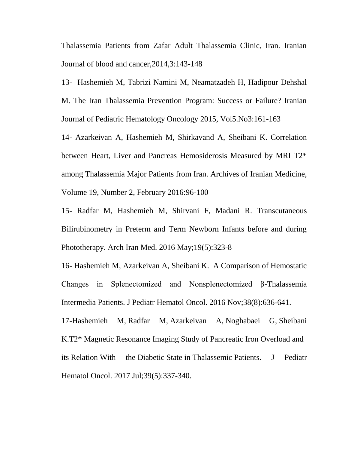Thalassemia Patients from Zafar Adult Thalassemia Clinic, Iran. Iranian Journal of blood and cancer,2014,3:143-148

13- Hashemieh M, Tabrizi Namini M, Neamatzadeh H, Hadipour Dehshal M. The Iran Thalassemia Prevention Program: Success or Failure? Iranian Journal of Pediatric Hematology Oncology 2015, Vol5.No3:161-163

14- Azarkeivan A, Hashemieh M, Shirkavand A, Sheibani K. Correlation between Heart, Liver and Pancreas Hemosiderosis Measured by MRI T2\* among Thalassemia Major Patients from Iran. Archives of Iranian Medicine, Volume 19, Number 2, February 2016:96-100

15- [Radfar M,](https://www.ncbi.nlm.nih.gov/pubmed/?term=Radfar%20M%5BAuthor%5D&cauthor=true&cauthor_uid=27179163) [Hashemieh M,](https://www.ncbi.nlm.nih.gov/pubmed/?term=Hashemieh%20M%5BAuthor%5D&cauthor=true&cauthor_uid=27179163) [Shirvani F,](https://www.ncbi.nlm.nih.gov/pubmed/?term=Shirvani%20F%5BAuthor%5D&cauthor=true&cauthor_uid=27179163) [Madani R.](https://www.ncbi.nlm.nih.gov/pubmed/?term=Madani%20R%5BAuthor%5D&cauthor=true&cauthor_uid=27179163) Transcutaneous Bilirubinometry in Preterm and Term Newborn Infants before and during Phototherapy. [Arch Iran Med.](https://www.ncbi.nlm.nih.gov/pubmed/27179163) 2016 May;19(5):323-8

16- [Hashemieh M,](https://www.ncbi.nlm.nih.gov/pubmed/?term=Hashemieh%20M%5BAuthor%5D&cauthor=true&cauthor_uid=27606436) [Azarkeivan A,](https://www.ncbi.nlm.nih.gov/pubmed/?term=Azarkeivan%20A%5BAuthor%5D&cauthor=true&cauthor_uid=27606436) [Sheibani](https://www.ncbi.nlm.nih.gov/pubmed/?term=Sheibani%20K%5BAuthor%5D&cauthor=true&cauthor_uid=27606436) K. A Comparison of Hemostatic Changes in Splenectomized and Nonsplenectomized β-Thalassemia Intermedia Patients. [J Pediatr Hematol Oncol.](https://www.ncbi.nlm.nih.gov/pubmed/27606436) 2016 Nov;38(8):636-641.

17[-Hashemieh M,](https://www.ncbi.nlm.nih.gov/pubmed/?term=Hashemieh%20M%5BAuthor%5D&cauthor=true&cauthor_uid=28085743) [Radfar M,](https://www.ncbi.nlm.nih.gov/pubmed/?term=Radfar%20M%5BAuthor%5D&cauthor=true&cauthor_uid=28085743) [Azarkeivan A,](https://www.ncbi.nlm.nih.gov/pubmed/?term=Azarkeivan%20A%5BAuthor%5D&cauthor=true&cauthor_uid=28085743) [Noghabaei G,](https://www.ncbi.nlm.nih.gov/pubmed/?term=Noghabaei%20G%5BAuthor%5D&cauthor=true&cauthor_uid=28085743) [Sheibani](https://www.ncbi.nlm.nih.gov/pubmed/?term=Sheibani%20K%5BAuthor%5D&cauthor=true&cauthor_uid=28085743)  [K.](https://www.ncbi.nlm.nih.gov/pubmed/?term=Sheibani%20K%5BAuthor%5D&cauthor=true&cauthor_uid=28085743)T2\* Magnetic Resonance Imaging Study of Pancreatic Iron Overload and its Relation With the Diabetic State in Thalassemic Patients. [J Pediatr](https://www.ncbi.nlm.nih.gov/pubmed/?term=T2*+Magnetic+Resonance+Imaging+Study+of+Pancreatic+Iron+Overload+and+its+Relation+With+the+Diabetic+State+in+Thalassemic+Patients.)  [Hematol Oncol.](https://www.ncbi.nlm.nih.gov/pubmed/?term=T2*+Magnetic+Resonance+Imaging+Study+of+Pancreatic+Iron+Overload+and+its+Relation+With+the+Diabetic+State+in+Thalassemic+Patients.) 2017 Jul;39(5):337-340.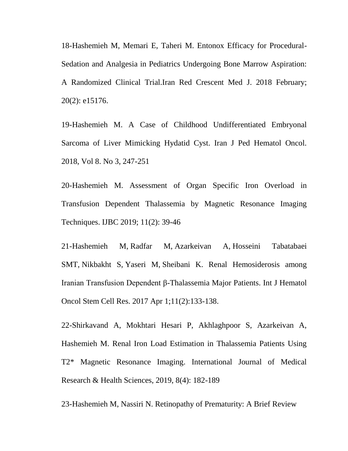18-Hashemieh M, Memari E, Taheri M. Entonox Efficacy for Procedural-Sedation and Analgesia in Pediatrics Undergoing Bone Marrow Aspiration: A Randomized Clinical Trial.Iran Red Crescent Med J. 2018 February; 20(2): e15176.

19-Hashemieh M. A Case of Childhood Undifferentiated Embryonal Sarcoma of Liver Mimicking Hydatid Cyst. Iran J Ped Hematol Oncol. 2018, Vol 8. No 3, 247-251

20-Hashemieh M. Assessment of Organ Specific Iron Overload in Transfusion Dependent Thalassemia by Magnetic Resonance Imaging Techniques. IJBC 2019; 11(2): 39-46

21[-Hashemieh M,](https://www.ncbi.nlm.nih.gov/pubmed/?term=Hashemieh%20M%5BAuthor%5D&cauthor=true&cauthor_uid=28875008) [Radfar M,](https://www.ncbi.nlm.nih.gov/pubmed/?term=Radfar%20M%5BAuthor%5D&cauthor=true&cauthor_uid=28875008) [Azarkeivan A,](https://www.ncbi.nlm.nih.gov/pubmed/?term=Azarkeivan%20A%5BAuthor%5D&cauthor=true&cauthor_uid=28875008) [Hosseini Tabatabaei](https://www.ncbi.nlm.nih.gov/pubmed/?term=Hosseini%20Tabatabaei%20SMT%5BAuthor%5D&cauthor=true&cauthor_uid=28875008)  [SMT,](https://www.ncbi.nlm.nih.gov/pubmed/?term=Hosseini%20Tabatabaei%20SMT%5BAuthor%5D&cauthor=true&cauthor_uid=28875008) [Nikbakht S,](https://www.ncbi.nlm.nih.gov/pubmed/?term=Nikbakht%20S%5BAuthor%5D&cauthor=true&cauthor_uid=28875008) [Yaseri M,](https://www.ncbi.nlm.nih.gov/pubmed/?term=Yaseri%20M%5BAuthor%5D&cauthor=true&cauthor_uid=28875008) [Sheibani K.](https://www.ncbi.nlm.nih.gov/pubmed/?term=Sheibani%20K%5BAuthor%5D&cauthor=true&cauthor_uid=28875008) Renal Hemosiderosis among Iranian Transfusion Dependent β-Thalassemia Major Patients. [Int J Hematol](https://www.ncbi.nlm.nih.gov/pubmed/28875008)  [Oncol Stem Cell Res.](https://www.ncbi.nlm.nih.gov/pubmed/28875008) 2017 Apr 1;11(2):133-138.

22-Shirkavand A, Mokhtari Hesari P, Akhlaghpoor S, Azarkeivan A, Hashemieh M. Renal Iron Load Estimation in Thalassemia Patients Using T2\* Magnetic Resonance Imaging. International Journal of Medical Research & Health Sciences, 2019, 8(4): 182-189

23-Hashemieh M, Nassiri N. Retinopathy of Prematurity: A Brief Review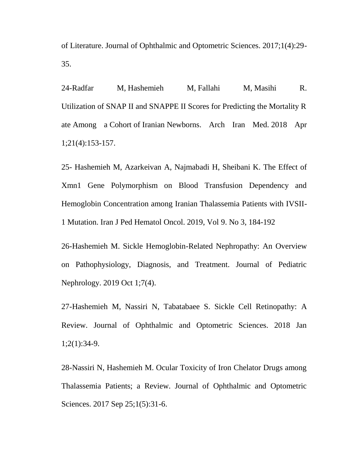of Literature. Journal of Ophthalmic and Optometric Sciences. 2017;1(4):29- 35.

24[-Radfar M,](https://www.ncbi.nlm.nih.gov/pubmed/?term=Radfar%20M%5BAuthor%5D&cauthor=true&cauthor_uid=29693405) [Hashemieh M,](https://www.ncbi.nlm.nih.gov/pubmed/?term=Hashemieh%20M%5BAuthor%5D&cauthor=true&cauthor_uid=29693405) [Fallahi M,](https://www.ncbi.nlm.nih.gov/pubmed/?term=Fallahi%20M%5BAuthor%5D&cauthor=true&cauthor_uid=29693405) [Masihi R.](https://www.ncbi.nlm.nih.gov/pubmed/?term=Masihi%20R%5BAuthor%5D&cauthor=true&cauthor_uid=29693405) Utilization of SNAP II and SNAPPE II Scores for Predicting the Mortality R ate Among a Cohort of Iranian Newborns. [Arch Iran Med.](https://www.ncbi.nlm.nih.gov/pubmed/?term=Utilization+of+SNAP+II+and+SNAPPE+II+Scores+for+Predicting+the+Mortality+Rate+Among+a+Cohort+of+Iranian+Newborns) 2018 Apr 1;21(4):153-157.

25- Hashemieh M, Azarkeivan A, Najmabadi H, Sheibani K. The Effect of Xmn1 Gene Polymorphism on Blood Transfusion Dependency and Hemoglobin Concentration among Iranian Thalassemia Patients with IVSII-1 Mutation. Iran J Ped Hematol Oncol. 2019, Vol 9. No 3, 184-192

26-Hashemieh M. Sickle Hemoglobin-Related Nephropathy: An Overview on Pathophysiology, Diagnosis, and Treatment. Journal of Pediatric Nephrology. 2019 Oct 1;7(4).

27-Hashemieh M, Nassiri N, Tabatabaee S. Sickle Cell Retinopathy: A Review. Journal of Ophthalmic and Optometric Sciences. 2018 Jan 1;2(1):34-9.

28-Nassiri N, Hashemieh M. Ocular Toxicity of Iron Chelator Drugs among Thalassemia Patients; a Review. Journal of Ophthalmic and Optometric Sciences. 2017 Sep 25;1(5):31-6.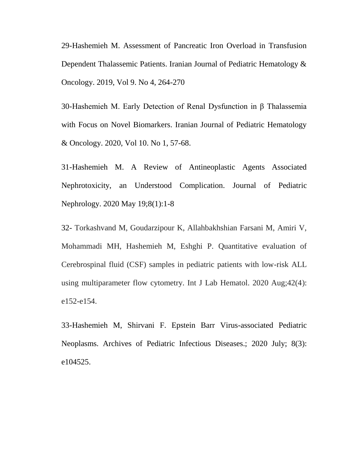29-Hashemieh M. Assessment of Pancreatic Iron Overload in Transfusion Dependent Thalassemic Patients. Iranian Journal of Pediatric Hematology & Oncology. 2019, Vol 9. No 4, 264-270

30-Hashemieh M. Early Detection of Renal Dysfunction in β Thalassemia with Focus on Novel Biomarkers. Iranian Journal of Pediatric Hematology & Oncology. 2020, Vol 10. No 1, 57-68.

31-Hashemieh M. A Review of Antineoplastic Agents Associated Nephrotoxicity, an Understood Complication. Journal of Pediatric Nephrology. 2020 May 19;8(1):1-8

32- Torkashvand M, Goudarzipour K, Allahbakhshian Farsani M, Amiri V, Mohammadi MH, Hashemieh M, Eshghi P. Quantitative evaluation of Cerebrospinal fluid (CSF) samples in pediatric patients with low-risk ALL using multiparameter flow cytometry. Int J Lab Hematol. 2020 Aug;42(4): e152-e154.

33-Hashemieh M, Shirvani F. Epstein Barr Virus-associated Pediatric Neoplasms. Archives of Pediatric Infectious Diseases.; 2020 July; 8(3): e104525.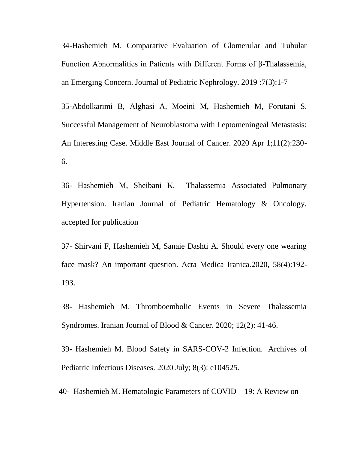34-Hashemieh M. Comparative Evaluation of Glomerular and Tubular Function Abnormalities in Patients with Different Forms of β-Thalassemia, an Emerging Concern. Journal of Pediatric Nephrology. 2019 :7(3):1-7

35-Abdolkarimi B, Alghasi A, Moeini M, Hashemieh M, Forutani S. Successful Management of Neuroblastoma with Leptomeningeal Metastasis: An Interesting Case. Middle East Journal of Cancer. 2020 Apr 1;11(2):230- 6.

36- Hashemieh M, Sheibani K. Thalassemia Associated Pulmonary Hypertension. Iranian Journal of Pediatric Hematology & Oncology. accepted for publication

37- Shirvani F, Hashemieh M, Sanaie Dashti A. Should every one wearing face mask? An important question. Acta Medica Iranica.2020, 58(4):192- 193.

38- Hashemieh M. Thromboembolic Events in Severe Thalassemia Syndromes. Iranian Journal of Blood & Cancer. 2020; 12(2): 41-46.

39- Hashemieh M. Blood Safety in SARS-COV-2 Infection. Archives of Pediatric Infectious Diseases. 2020 July; 8(3): e104525.

40- Hashemieh M. Hematologic Parameters of COVID – 19: A Review on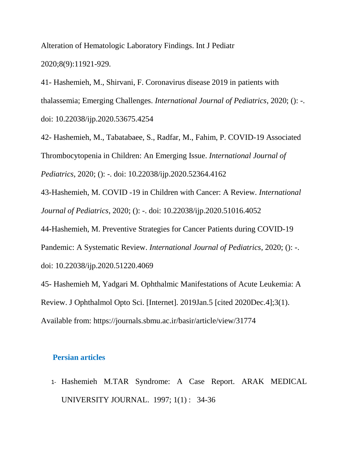Alteration of Hematologic Laboratory Findings. Int J Pediatr 2020;8(9):11921-929.

41- Hashemieh, M., Shirvani, F. Coronavirus disease 2019 in patients with thalassemia; Emerging Challenges. *International Journal of Pediatrics*, 2020; (): -. doi: 10.22038/ijp.2020.53675.4254

42- Hashemieh, M., Tabatabaee, S., Radfar, M., Fahim, P. COVID-19 Associated Thrombocytopenia in Children: An Emerging Issue. *International Journal of Pediatrics*, 2020; (): -. doi: 10.22038/ijp.2020.52364.4162

43-Hashemieh, M. COVID -19 in Children with Cancer: A Review. *International Journal of Pediatrics*, 2020; (): -. doi: 10.22038/ijp.2020.51016.4052

44-Hashemieh, M. Preventive Strategies for Cancer Patients during COVID-19

Pandemic: A Systematic Review. *International Journal of Pediatrics*, 2020; (): -.

doi: 10.22038/ijp.2020.51220.4069

45- Hashemieh M, Yadgari M. Ophthalmic Manifestations of Acute Leukemia: A Review. J Ophthalmol Opto Sci. [Internet]. 2019Jan.5 [cited 2020Dec.4];3(1). Available from: https://journals.sbmu.ac.ir/basir/article/view/31774

## **Persian articles**

1- Hashemieh M.TAR Syndrome: A Case Report. ARAK [MEDICAL](https://www.sid.ir/en/Journal/JournalList.aspx?ID=3935) [UNIVERSITY](https://www.sid.ir/en/Journal/JournalList.aspx?ID=3935) JOURNAL. [1997;](https://www.sid.ir/en/Journal/JournalListPaper.aspx?ID=15603) 1(1) : 34-36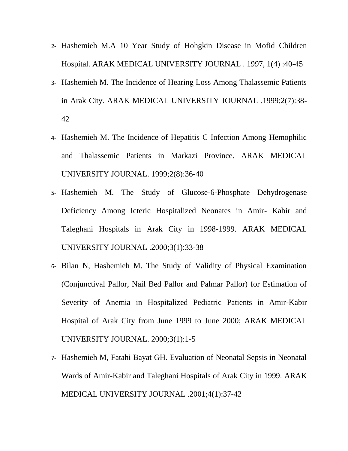- 2- Hashemieh M.A 10 Year Study of Hohgkin Disease in Mofid Children Hospital. ARAK MEDICAL [UNIVERSITY](https://www.sid.ir/en/Journal/JournalList.aspx?ID=3935) JOURNAL . 1997, 1(4) :40-45
- 3- Hashemieh M. The Incidence of Hearing Loss Among Thalassemic Patients in Arak City. ARAK MEDICAL [UNIVERSITY](https://www.sid.ir/en/Journal/JournalList.aspx?ID=3935) JOURNAL .1999;2(7):38- 42
- 4- Hashemieh M. The Incidence of Hepatitis C Infection Among Hemophilic and Thalassemic Patients in Markazi Province. ARAK MEDICAL UNIVERSITY JOURNAL. 1999;2(8):36-40
- 5- Hashemieh M. The Study of Glucose-6-Phosphate Dehydrogenase Deficiency Among Icteric Hospitalized Neonates in Amir- Kabir and Taleghani Hospitals in Arak City in 1998-1999. ARAK [MEDICAL](https://www.sid.ir/en/Journal/JournalList.aspx?ID=3935) [UNIVERSITY](https://www.sid.ir/en/Journal/JournalList.aspx?ID=3935) JOURNAL .2000;3(1):33-38
- 6- Bilan N, Hashemieh M. The Study of Validity of Physical Examination (Conjunctival Pallor, Nail Bed Pallor and Palmar Pallor) for Estimation of Severity of Anemia in Hospitalized Pediatric Patients in Amir-Kabir Hospital of Arak City from June 1999 to June 2000; ARAK MEDICAL UNIVERSITY JOURNAL. 2000;3(1):1-5
- 7- Hashemieh M, Fatahi Bayat GH. Evaluation of Neonatal Sepsis in Neonatal Wards of Amir-Kabir and Taleghani Hospitals of Arak City in 1999. [ARAK](https://www.sid.ir/en/Journal/JournalList.aspx?ID=3935) MEDICAL [UNIVERSITY](https://www.sid.ir/en/Journal/JournalList.aspx?ID=3935) JOURNAL .2001;4(1):37-42